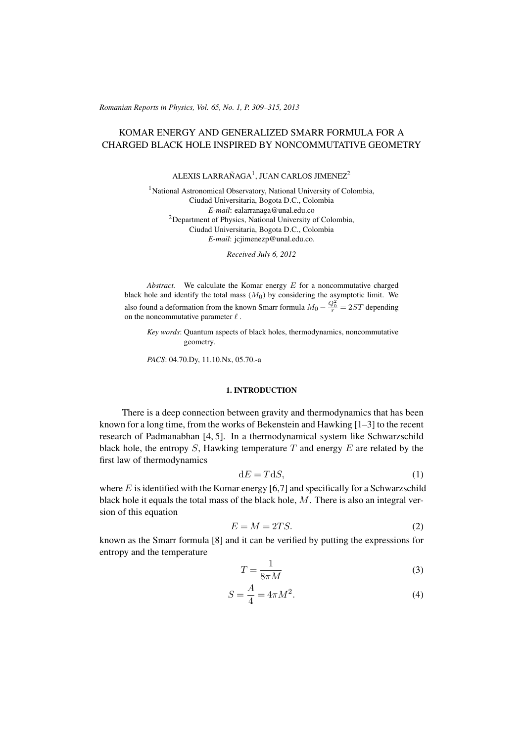(c) RRP 65(No. 1) 309–315 2013 *Romanian Reports in Physics, Vol. 65, No. 1, P. 309–315, 2013*

# KOMAR ENERGY AND GENERALIZED SMARR FORMULA FOR A CHARGED BLACK HOLE INSPIRED BY NONCOMMUTATIVE GEOMETRY

ALEXIS LARRAÑAGA<sup>1</sup>, JUAN CARLOS JIMENEZ<sup>2</sup>

<sup>1</sup>National Astronomical Observatory, National University of Colombia, Ciudad Universitaria, Bogota D.C., Colombia *E-mail*: ealarranaga@unal.edu.co <sup>2</sup>Department of Physics, National University of Colombia, Ciudad Universitaria, Bogota D.C., Colombia *E-mail*: jcjimenezp@unal.edu.co.

*Received July 6, 2012*

*Abstract.* We calculate the Komar energy  $E$  for a noncommutative charged black hole and identify the total mass  $(M_0)$  by considering the asymptotic limit. We also found a deformation from the known Smarr formula  $M_0 - \frac{Q_0^2}{r} = 2ST$  depending on the noncommutative parameter  $\ell$  .

*Key words*: Quantum aspects of black holes, thermodynamics, noncommutative geometry.

*PACS*: 04.70.Dy, 11.10.Nx, 05.70.-a

## 1. INTRODUCTION

There is a deep connection between gravity and thermodynamics that has been known for a long time, from the works of Bekenstein and Hawking [1–3] to the recent research of Padmanabhan [4, 5]. In a thermodynamical system like Schwarzschild black hole, the entropy  $S$ , Hawking temperature  $T$  and energy  $E$  are related by the first law of thermodynamics

$$
dE = TdS,\t\t(1)
$$

where  $E$  is identified with the Komar energy [6,7] and specifically for a Schwarzschild black hole it equals the total mass of the black hole,  $M$ . There is also an integral version of this equation

$$
E = M = 2TS.\t\t(2)
$$

known as the Smarr formula [8] and it can be verified by putting the expressions for entropy and the temperature

$$
T = \frac{1}{8\pi M} \tag{3}
$$

$$
S = \frac{A}{4} = 4\pi M^2.
$$
 (4)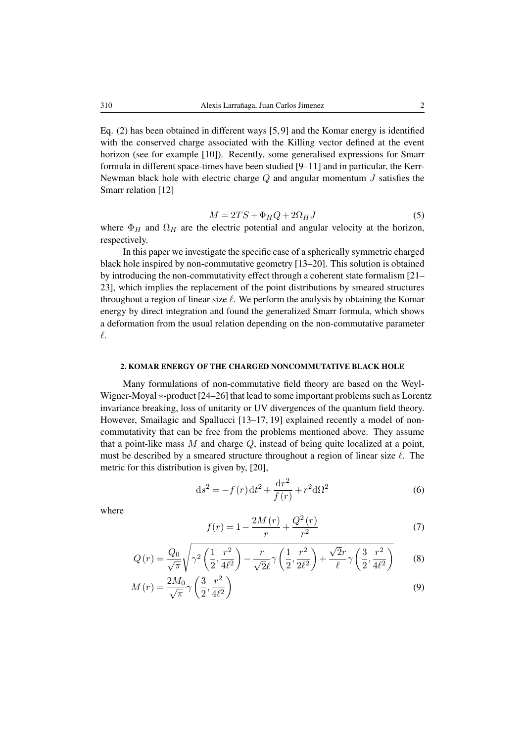Eq. (2) has been obtained in different ways [5, 9] and the Komar energy is identified with the conserved charge associated with the Killing vector defined at the event horizon (see for example [10]). Recently, some generalised expressions for Smarr formula in different space-times have been studied [9–11] and in particular, the Kerr-Newman black hole with electric charge  $Q$  and angular momentum  $J$  satisfies the Smarr relation [12]

$$
M = 2TS + \Phi_H Q + 2\Omega_H J \tag{5}
$$

where  $\Phi_H$  and  $\Omega_H$  are the electric potential and angular velocity at the horizon, respectively.

In this paper we investigate the specific case of a spherically symmetric charged black hole inspired by non-commutative geometry [13–20]. This solution is obtained by introducing the non-commutativity effect through a coherent state formalism [21– 23], which implies the replacement of the point distributions by smeared structures throughout a region of linear size  $\ell$ . We perform the analysis by obtaining the Komar energy by direct integration and found the generalized Smarr formula, which shows a deformation from the usual relation depending on the non-commutative parameter  $\ell$ .

### 2. KOMAR ENERGY OF THE CHARGED NONCOMMUTATIVE BLACK HOLE

Many formulations of non-commutative field theory are based on the Weyl-Wigner-Moyal ∗-product [24–26] that lead to some important problems such as Lorentz invariance breaking, loss of unitarity or UV divergences of the quantum field theory. However, Smailagic and Spallucci [13–17, 19] explained recently a model of noncommutativity that can be free from the problems mentioned above. They assume that a point-like mass  $M$  and charge  $Q$ , instead of being quite localized at a point, must be described by a smeared structure throughout a region of linear size  $\ell$ . The metric for this distribution is given by, [20],

$$
ds^{2} = -f(r) dt^{2} + \frac{dr^{2}}{f(r)} + r^{2} d\Omega^{2}
$$
 (6)

where

$$
f(r) = 1 - \frac{2M(r)}{r} + \frac{Q^2(r)}{r^2}
$$
 (7)

$$
Q(r) = \frac{Q_0}{\sqrt{\pi}} \sqrt{\gamma^2 \left(\frac{1}{2}, \frac{r^2}{4\ell^2}\right) - \frac{r}{\sqrt{2}\ell}} \gamma \left(\frac{1}{2}, \frac{r^2}{2\ell^2}\right) + \frac{\sqrt{2}r}{\ell} \gamma \left(\frac{3}{2}, \frac{r^2}{4\ell^2}\right)}\tag{8}
$$

$$
M(r) = \frac{2M_0}{\sqrt{\pi}} \gamma \left(\frac{3}{2}, \frac{r^2}{4\ell^2}\right)
$$
\n<sup>(9)</sup>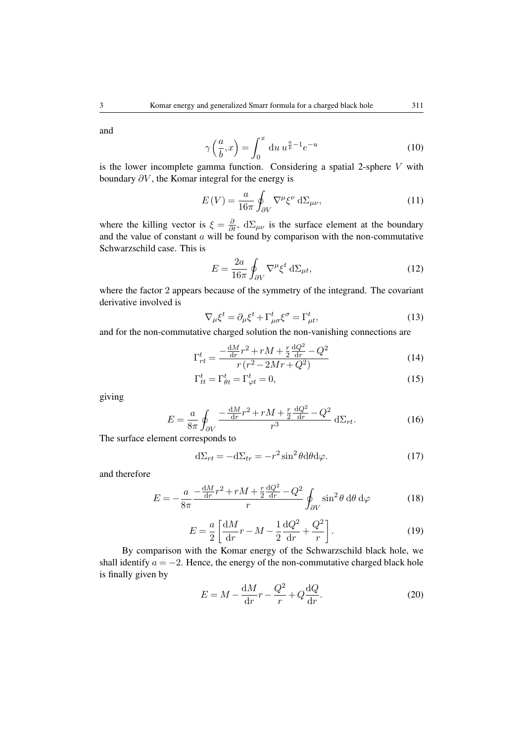and

$$
\gamma\left(\frac{a}{b},x\right) = \int_0^x \mathrm{d}u \, u^{\frac{a}{b}-1} e^{-u} \tag{10}
$$

is the lower incomplete gamma function. Considering a spatial 2-sphere  $V$  with boundary  $\partial V$ , the Komar integral for the energy is

$$
E(V) = \frac{a}{16\pi} \oint_{\partial V} \nabla^{\mu} \xi^{\nu} d\Sigma_{\mu\nu},
$$
\n(11)

where the killing vector is  $\xi = \frac{\partial}{\partial t}$ ,  $d\Sigma_{\mu\nu}$  is the surface element at the boundary and the value of constant  $a$  will be found by comparison with the non-commutative Schwarzschild case. This is

$$
E = \frac{2a}{16\pi} \oint_{\partial V} \nabla^{\mu} \xi^{t} d\Sigma_{\mu t},
$$
 (12)

where the factor 2 appears because of the symmetry of the integrand. The covariant derivative involved is

$$
\nabla_{\mu}\xi^{t} = \partial_{\mu}\xi^{t} + \Gamma_{\mu\sigma}^{t}\xi^{\sigma} = \Gamma_{\mu t}^{t},\tag{13}
$$

and for the non-commutative charged solution the non-vanishing connections are

$$
\Gamma_{rt}^{t} = \frac{-\frac{dM}{dr}r^{2} + rM + \frac{r}{2}\frac{dQ^{2}}{dr} - Q^{2}}{r(r^{2} - 2Mr + Q^{2})}
$$
(14)

$$
\Gamma_{tt}^t = \Gamma_{\theta t}^t = \Gamma_{\varphi t}^t = 0,\tag{15}
$$

giving

$$
E = \frac{a}{8\pi} \oint_{\partial V} \frac{-\frac{dM}{dr}r^2 + rM + \frac{r}{2}\frac{dQ^2}{dr} - Q^2}{r^3} d\Sigma_{rt}.
$$
 (16)

The surface element corresponds to

$$
d\Sigma_{rt} = -d\Sigma_{tr} = -r^2 \sin^2\theta d\theta d\varphi.
$$
 (17)

and therefore

$$
E = -\frac{a}{8\pi} \frac{-\frac{dM}{dr}r^2 + rM + \frac{r}{2}\frac{dQ^2}{dr} - Q^2}{r} \oint_{\partial V} \sin^2 \theta \, d\theta \, d\varphi \tag{18}
$$

$$
E = \frac{a}{2} \left[ \frac{dM}{dr} r - M - \frac{1}{2} \frac{dQ^2}{dr} + \frac{Q^2}{r} \right].
$$
 (19)

By comparison with the Komar energy of the Schwarzschild black hole, we shall identify  $a = -2$ . Hence, the energy of the non-commutative charged black hole is finally given by

$$
E = M - \frac{dM}{dr}r - \frac{Q^2}{r} + Q\frac{dQ}{dr}.
$$
\n(20)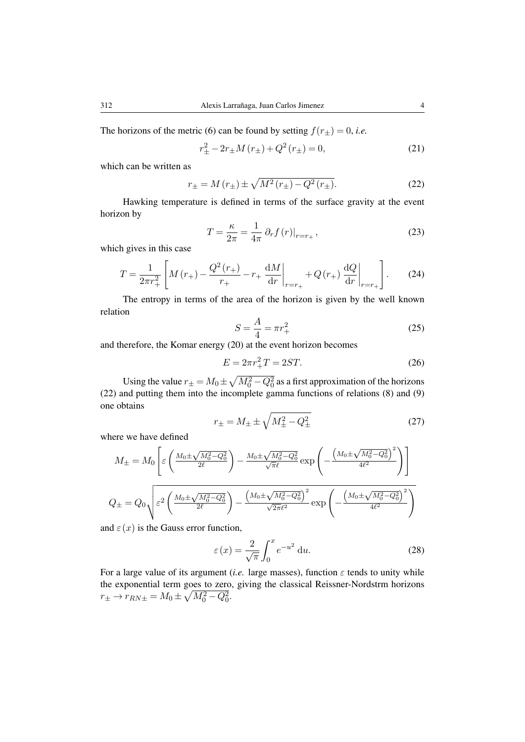The horizons of the metric (6) can be found by setting  $f(r_{\pm}) = 0$ , *i.e.* 

$$
r_{\pm}^{2} - 2r_{\pm}M(r_{\pm}) + Q^{2}(r_{\pm}) = 0,
$$
\n(21)

which can be written as

$$
r_{\pm} = M(r_{\pm}) \pm \sqrt{M^2(r_{\pm}) - Q^2(r_{\pm})}.
$$
 (22)

Hawking temperature is defined in terms of the surface gravity at the event horizon by

$$
T = \frac{\kappa}{2\pi} = \frac{1}{4\pi} \partial_r f(r)|_{r=r_+},\tag{23}
$$

which gives in this case

$$
T = \frac{1}{2\pi r_+^2} \left[ M(r_+) - \frac{Q^2(r_+)}{r_+} - r_+ \left. \frac{\mathrm{d}M}{\mathrm{d}r} \right|_{r=r_+} + Q(r_+) \left. \frac{\mathrm{d}Q}{\mathrm{d}r} \right|_{r=r_+} \right]. \tag{24}
$$

The entropy in terms of the area of the horizon is given by the well known relation

$$
S = \frac{A}{4} = \pi r_+^2 \tag{25}
$$

and therefore, the Komar energy (20) at the event horizon becomes

$$
E = 2\pi r_+^2 T = 2ST.
$$
 (26)

Using the value  $r_{\pm} = M_0 \pm \sqrt{M_0^2 - Q_0^2}$  as a first approximation of the horizons (22) and putting them into the incomplete gamma functions of relations (8) and (9) one obtains

$$
r_{\pm} = M_{\pm} \pm \sqrt{M_{\pm}^2 - Q_{\pm}^2}
$$
 (27)

where we have defined

$$
M_{\pm} = M_0 \left[ \varepsilon \left( \frac{M_0 \pm \sqrt{M_0^2 - Q_0^2}}{2\ell} \right) - \frac{M_0 \pm \sqrt{M_0^2 - Q_0^2}}{\sqrt{\pi \ell}} \exp \left( - \frac{\left( M_0 \pm \sqrt{M_0^2 - Q_0^2} \right)^2}{4\ell^2} \right) \right]
$$
  

$$
Q_{\pm} = Q_0 \sqrt{\varepsilon^2 \left( \frac{M_0 \pm \sqrt{M_0^2 - Q_0^2}}{2\ell} \right) - \frac{\left( M_0 \pm \sqrt{M_0^2 - Q_0^2} \right)^2}{\sqrt{2\pi} \ell^2}} \exp \left( - \frac{\left( M_0 \pm \sqrt{M_0^2 - Q_0^2} \right)^2}{4\ell^2} \right)
$$

and  $\varepsilon(x)$  is the Gauss error function,

$$
\varepsilon(x) = \frac{2}{\sqrt{\pi}} \int_0^x e^{-u^2} \, \mathrm{d}u. \tag{28}
$$

For a large value of its argument (*i.e.* large masses), function  $\varepsilon$  tends to unity while the exponential term goes to zero, giving the classical Reissner-Nordstrm horizons  $r_{\pm} \to r_{RN\pm} = M_0 \pm \sqrt{M_0^2 - Q_0^2}.$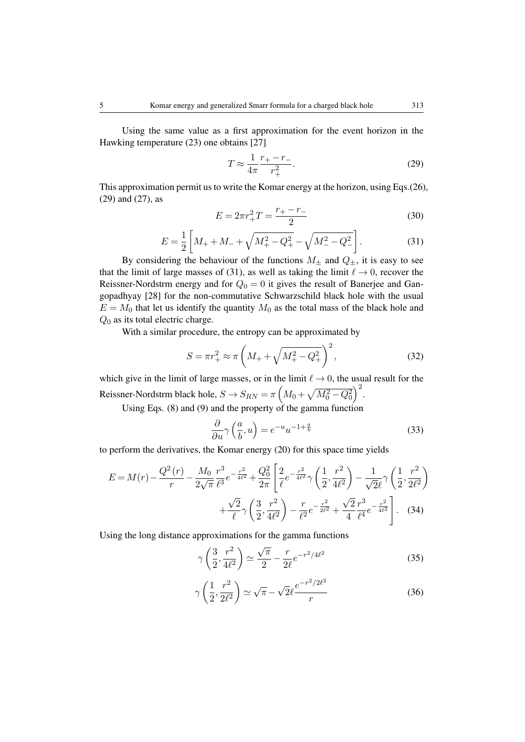Using the same value as a first approximation for the event horizon in the Hawking temperature (23) one obtains [27]

$$
T \approx \frac{1}{4\pi} \frac{r_+ - r_-}{r_+^2}.
$$
 (29)

This approximation permit us to write the Komar energy at the horizon, using Eqs.(26), (29) and (27), as

$$
E = 2\pi r_+^2 T = \frac{r_+ - r_-}{2} \tag{30}
$$

$$
E = \frac{1}{2} \left[ M_{+} + M_{-} + \sqrt{M_{+}^{2} - Q_{+}^{2}} - \sqrt{M_{-}^{2} - Q_{-}^{2}} \right].
$$
 (31)

By considering the behaviour of the functions  $M_{\pm}$  and  $Q_{\pm}$ , it is easy to see that the limit of large masses of (31), as well as taking the limit  $\ell \rightarrow 0$ , recover the Reissner-Nordstrm energy and for  $Q_0 = 0$  it gives the result of Banerjee and Gangopadhyay [28] for the non-commutative Schwarzschild black hole with the usual  $E = M_0$  that let us identify the quantity  $M_0$  as the total mass of the black hole and  $Q_0$  as its total electric charge.

With a similar procedure, the entropy can be approximated by

$$
S = \pi r_+^2 \approx \pi \left( M_+ + \sqrt{M_+^2 - Q_+^2} \right)^2, \tag{32}
$$

which give in the limit of large masses, or in the limit  $\ell \to 0$ , the usual result for the Reissner-Nordstrm black hole,  $S \to S_{RN} = \pi \left( M_0 + \sqrt{M_0^2 - Q_0^2} \right)^2$ .

Using Eqs. (8) and (9) and the property of the gamma function

$$
\frac{\partial}{\partial u}\gamma\left(\frac{a}{b},u\right) = e^{-u}u^{-1+\frac{a}{b}}\tag{33}
$$

to perform the derivatives, the Komar energy (20) for this space time yields

$$
E = M(r) - \frac{Q^2(r)}{r} - \frac{M_0}{2\sqrt{\pi}} \frac{r^3}{\ell^3} e^{-\frac{r^2}{4\ell^2}} + \frac{Q_0^2}{2\pi} \left[ \frac{2}{\ell} e^{-\frac{r^2}{4\ell^2}} \gamma \left( \frac{1}{2}, \frac{r^2}{4\ell^2} \right) - \frac{1}{\sqrt{2}\ell} \gamma \left( \frac{1}{2}, \frac{r^2}{2\ell^2} \right) \right] + \frac{\sqrt{2}}{\ell} \gamma \left( \frac{3}{2}, \frac{r^2}{4\ell^2} \right) - \frac{r}{\ell^2} e^{-\frac{r^2}{2\ell^2}} + \frac{\sqrt{2}}{4} \frac{r^3}{\ell^4} e^{-\frac{r^2}{4\ell^2}} \right].
$$
 (34)

Using the long distance approximations for the gamma functions

$$
\gamma \left( \frac{3}{2}, \frac{r^2}{4\ell^2} \right) \simeq \frac{\sqrt{\pi}}{2} - \frac{r}{2\ell} e^{-r^2/4\ell^2}
$$
 (35)

$$
\gamma\left(\frac{1}{2},\frac{r^2}{2\ell^2}\right) \simeq \sqrt{\pi} - \sqrt{2}\ell \frac{e^{-r^2/2\ell^2}}{r} \tag{36}
$$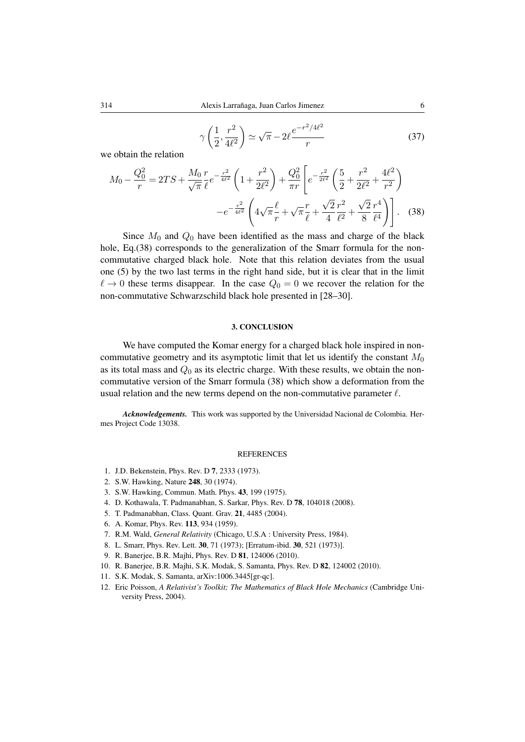$$
\gamma\left(\frac{1}{2}, \frac{r^2}{4\ell^2}\right) \simeq \sqrt{\pi} - 2\ell \frac{e^{-r^2/4\ell^2}}{r} \tag{37}
$$

we obtain the relation

$$
M_0 - \frac{Q_0^2}{r} = 2TS + \frac{M_0}{\sqrt{\pi}} \frac{r}{\ell} e^{-\frac{r^2}{4\ell^2}} \left(1 + \frac{r^2}{2\ell^2}\right) + \frac{Q_0^2}{\pi r} \left[e^{-\frac{r^2}{2\ell^2}} \left(\frac{5}{2} + \frac{r^2}{2\ell^2} + \frac{4\ell^2}{r^2}\right) - e^{-\frac{r^2}{4\ell^2}} \left(4\sqrt{\pi}\frac{\ell}{r} + \sqrt{\pi}\frac{r}{\ell} + \frac{\sqrt{2}}{4}\frac{r^2}{\ell^2} + \frac{\sqrt{2}}{8}\frac{r^4}{\ell^4}\right)\right].
$$
 (38)

Since  $M_0$  and  $Q_0$  have been identified as the mass and charge of the black hole, Eq.(38) corresponds to the generalization of the Smarr formula for the noncommutative charged black hole. Note that this relation deviates from the usual one (5) by the two last terms in the right hand side, but it is clear that in the limit  $\ell \to 0$  these terms disappear. In the case  $Q_0 = 0$  we recover the relation for the non-commutative Schwarzschild black hole presented in [28–30].

#### 3. CONCLUSION

We have computed the Komar energy for a charged black hole inspired in noncommutative geometry and its asymptotic limit that let us identify the constant  $M_0$ as its total mass and  $Q_0$  as its electric charge. With these results, we obtain the noncommutative version of the Smarr formula (38) which show a deformation from the usual relation and the new terms depend on the non-commutative parameter  $\ell$ .

*Acknowledgements.* This work was supported by the Universidad Nacional de Colombia. Hermes Project Code 13038.

#### REFERENCES

- 1. J.D. Bekenstein, Phys. Rev. D 7, 2333 (1973).
- 2. S.W. Hawking, Nature 248, 30 (1974).
- 3. S.W. Hawking, Commun. Math. Phys. 43, 199 (1975).
- 4. D. Kothawala, T. Padmanabhan, S. Sarkar, Phys. Rev. D 78, 104018 (2008).
- 5. T. Padmanabhan, Class. Quant. Grav. 21, 4485 (2004).
- 6. A. Komar, Phys. Rev. 113, 934 (1959).
- 7. R.M. Wald, *General Relativity* (Chicago, U.S.A : University Press, 1984).
- 8. L. Smarr, Phys. Rev. Lett. 30, 71 (1973); [Erratum-ibid. 30, 521 (1973)].
- 9. R. Banerjee, B.R. Majhi, Phys. Rev. D 81, 124006 (2010).
- 10. R. Banerjee, B.R. Majhi, S.K. Modak, S. Samanta, Phys. Rev. D 82, 124002 (2010).
- 11. S.K. Modak, S. Samanta, arXiv:1006.3445[gr-qc].
- 12. Eric Poisson, *A Relativist's Toolkit; The Mathematics of Black Hole Mechanics* (Cambridge University Press, 2004).